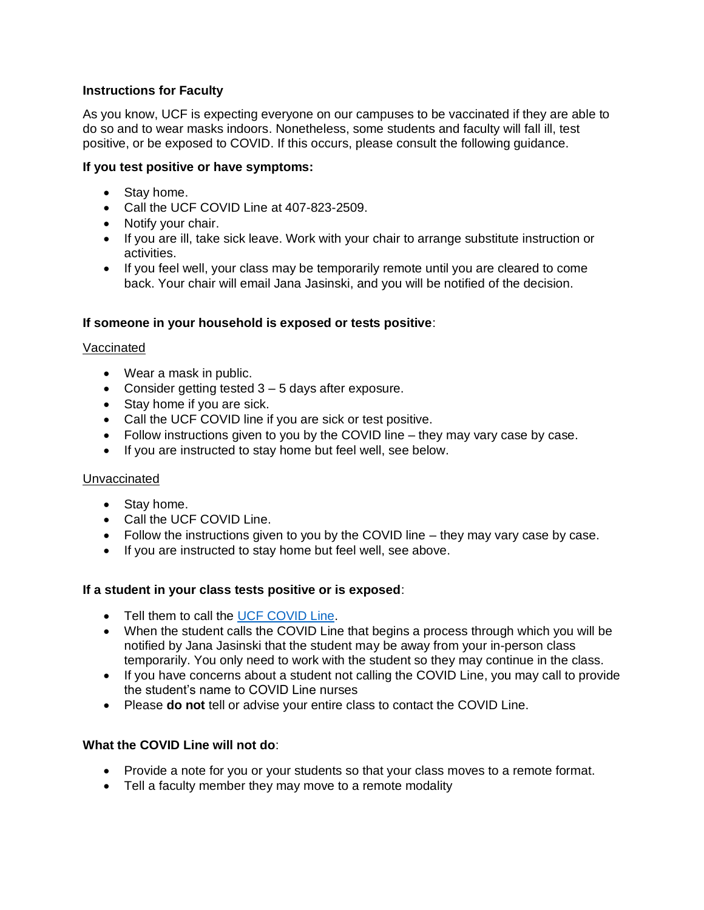# **Instructions for Faculty**

As you know, UCF is expecting everyone on our campuses to be vaccinated if they are able to do so and to wear masks indoors. Nonetheless, some students and faculty will fall ill, test positive, or be exposed to COVID. If this occurs, please consult the following guidance.

# **If you test positive or have symptoms:**

- Stay home.
- Call the UCF COVID Line at 407-823-2509.
- Notify your chair.
- If you are ill, take sick leave. Work with your chair to arrange substitute instruction or activities.
- If you feel well, your class may be temporarily remote until you are cleared to come back. Your chair will email Jana Jasinski, and you will be notified of the decision.

### **If someone in your household is exposed or tests positive**:

### Vaccinated

- Wear a mask in public.
- Consider getting tested 3 5 days after exposure.
- Stay home if you are sick.
- Call the UCF COVID line if you are sick or test positive.
- Follow instructions given to you by the COVID line they may vary case by case.
- If you are instructed to stay home but feel well, see below.

### Unvaccinated

- Stay home.
- Call the UCF COVID Line.
- Follow the instructions given to you by the COVID line  $-$  they may vary case by case.
- If you are instructed to stay home but feel well, see above.

### **If a student in your class tests positive or is exposed**:

- Tell them to call the [UCF COVID Line.](tel:%204078232509)
- When the student calls the COVID Line that begins a process through which you will be notified by Jana Jasinski that the student may be away from your in-person class temporarily. You only need to work with the student so they may continue in the class.
- If you have concerns about a student not calling the COVID Line, you may call to provide the student's name to COVID Line nurses
- Please **do not** tell or advise your entire class to contact the COVID Line.

### **What the COVID Line will not do**:

- Provide a note for you or your students so that your class moves to a remote format.
- Tell a faculty member they may move to a remote modality